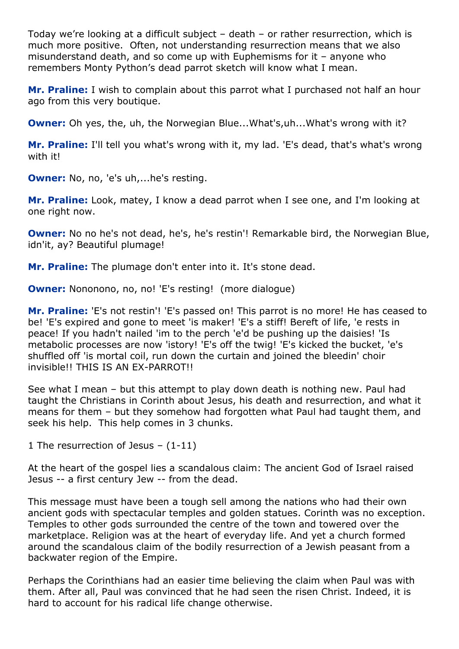Today we're looking at a difficult subject – death – or rather resurrection, which is much more positive. Often, not understanding resurrection means that we also misunderstand death, and so come up with Euphemisms for it – anyone who remembers Monty Python's dead parrot sketch will know what I mean.

**Mr. Praline:** I wish to complain about this parrot what I purchased not half an hour ago from this very boutique.

**Owner:** Oh yes, the, uh, the Norwegian Blue...What's, uh...What's wrong with it?

**Mr. Praline:** I'll tell you what's wrong with it, my lad. 'E's dead, that's what's wrong with it!

**Owner:** No, no, 'e's uh,...he's resting.

**Mr. Praline:** Look, matey, I know a dead parrot when I see one, and I'm looking at one right now.

**Owner:** No no he's not dead, he's, he's restin'! Remarkable bird, the Norwegian Blue, idn'it, ay? Beautiful plumage!

**Mr. Praline:** The plumage don't enter into it. It's stone dead.

**Owner:** Nononono, no, no! 'E's resting! (more dialogue)

**Mr. Praline:** 'E's not restin'! 'E's passed on! This parrot is no more! He has ceased to be! 'E's expired and gone to meet 'is maker! 'E's a stiff! Bereft of life, 'e rests in peace! If you hadn't nailed 'im to the perch 'e'd be pushing up the daisies! 'Is metabolic processes are now 'istory! 'E's off the twig! 'E's kicked the bucket, 'e's shuffled off 'is mortal coil, run down the curtain and joined the bleedin' choir invisible!! THIS IS AN EX-PARROT!!

See what I mean – but this attempt to play down death is nothing new. Paul had taught the Christians in Corinth about Jesus, his death and resurrection, and what it means for them – but they somehow had forgotten what Paul had taught them, and seek his help. This help comes in 3 chunks.

1 The resurrection of Jesus – (1-11)

At the heart of the gospel lies a scandalous claim: The ancient God of Israel raised Jesus -- a first century Jew -- from the dead.

This message must have been a tough sell among the nations who had their own ancient gods with spectacular temples and golden statues. Corinth was no exception. Temples to other gods surrounded the centre of the town and towered over the marketplace. Religion was at the heart of everyday life. And yet a church formed around the scandalous claim of the bodily resurrection of a Jewish peasant from a backwater region of the Empire.

Perhaps the Corinthians had an easier time believing the claim when Paul was with them. After all, Paul was convinced that he had seen the risen Christ. Indeed, it is hard to account for his radical life change otherwise.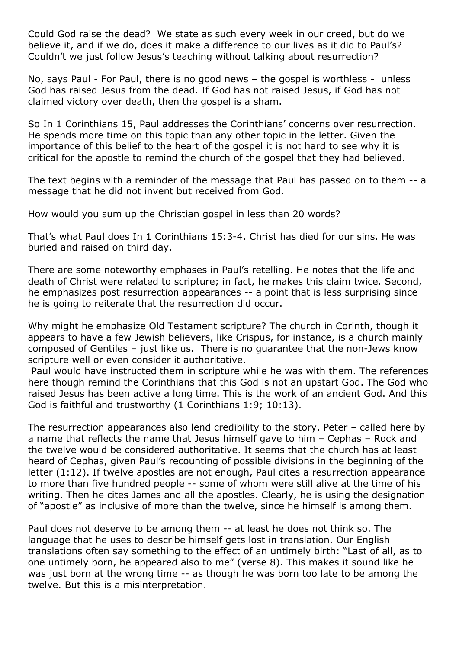Could God raise the dead? We state as such every week in our creed, but do we believe it, and if we do, does it make a difference to our lives as it did to Paul's? Couldn't we just follow Jesus's teaching without talking about resurrection?

No, says Paul - For Paul, there is no good news – the gospel is worthless - unless God has raised Jesus from the dead. If God has not raised Jesus, if God has not claimed victory over death, then the gospel is a sham.

So In 1 Corinthians 15, Paul addresses the Corinthians' concerns over resurrection. He spends more time on this topic than any other topic in the letter. Given the importance of this belief to the heart of the gospel it is not hard to see why it is critical for the apostle to remind the church of the gospel that they had believed.

The text begins with a reminder of the message that Paul has passed on to them -- a message that he did not invent but received from God.

How would you sum up the Christian gospel in less than 20 words?

That's what Paul does In 1 Corinthians 15:3-4. Christ has died for our sins. He was buried and raised on third day.

There are some noteworthy emphases in Paul's retelling. He notes that the life and death of Christ were related to scripture; in fact, he makes this claim twice. Second, he emphasizes post resurrection appearances -- a point that is less surprising since he is going to reiterate that the resurrection did occur.

Why might he emphasize Old Testament scripture? The church in Corinth, though it appears to have a few Jewish believers, like Crispus, for instance, is a church mainly composed of Gentiles – just like us. There is no guarantee that the non-Jews know scripture well or even consider it authoritative.

Paul would have instructed them in scripture while he was with them. The references here though remind the Corinthians that this God is not an upstart God. The God who raised Jesus has been active a long time. This is the work of an ancient God. And this God is faithful and trustworthy (1 Corinthians 1:9; 10:13).

The resurrection appearances also lend credibility to the story. Peter – called here by a name that reflects the name that Jesus himself gave to him – Cephas – Rock and the twelve would be considered authoritative. It seems that the church has at least heard of Cephas, given Paul's recounting of possible divisions in the beginning of the letter (1:12). If twelve apostles are not enough, Paul cites a resurrection appearance to more than five hundred people -- some of whom were still alive at the time of his writing. Then he cites James and all the apostles. Clearly, he is using the designation of "apostle" as inclusive of more than the twelve, since he himself is among them.

Paul does not deserve to be among them -- at least he does not think so. The language that he uses to describe himself gets lost in translation. Our English translations often say something to the effect of an untimely birth: "Last of all, as to one untimely born, he appeared also to me" (verse 8). This makes it sound like he was just born at the wrong time -- as though he was born too late to be among the twelve. But this is a misinterpretation.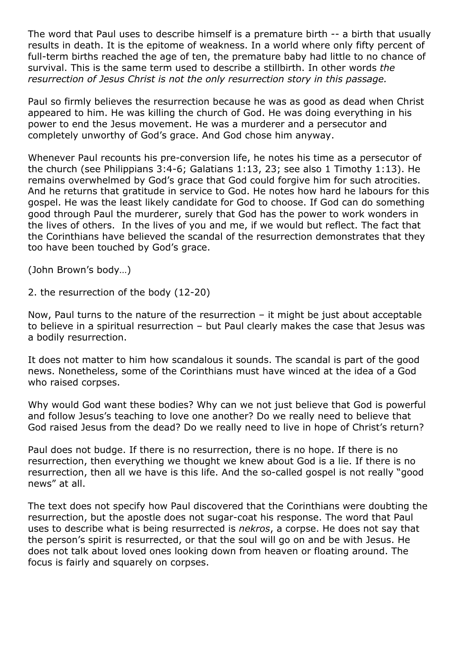The word that Paul uses to describe himself is a premature birth -- a birth that usually results in death. It is the epitome of weakness. In a world where only fifty percent of full-term births reached the age of ten, the premature baby had little to no chance of survival. This is the same term used to describe a stillbirth. In other words *the resurrection of Jesus Christ is not the only resurrection story in this passage.*

Paul so firmly believes the resurrection because he was as good as dead when Christ appeared to him. He was killing the church of God. He was doing everything in his power to end the Jesus movement. He was a murderer and a persecutor and completely unworthy of God's grace. And God chose him anyway.

Whenever Paul recounts his pre-conversion life, he notes his time as a persecutor of the church (see Philippians 3:4-6; Galatians 1:13, 23; see also 1 Timothy 1:13). He remains overwhelmed by God's grace that God could forgive him for such atrocities. And he returns that gratitude in service to God. He notes how hard he labours for this gospel. He was the least likely candidate for God to choose. If God can do something good through Paul the murderer, surely that God has the power to work wonders in the lives of others. In the lives of you and me, if we would but reflect. The fact that the Corinthians have believed the scandal of the resurrection demonstrates that they too have been touched by God's grace.

(John Brown's body…)

2. the resurrection of the body (12-20)

Now, Paul turns to the nature of the resurrection – it might be just about acceptable to believe in a spiritual resurrection – but Paul clearly makes the case that Jesus was a bodily resurrection.

It does not matter to him how scandalous it sounds. The scandal is part of the good news. Nonetheless, some of the Corinthians must have winced at the idea of a God who raised corpses.

Why would God want these bodies? Why can we not just believe that God is powerful and follow Jesus's teaching to love one another? Do we really need to believe that God raised Jesus from the dead? Do we really need to live in hope of Christ's return?

Paul does not budge. If there is no resurrection, there is no hope. If there is no resurrection, then everything we thought we knew about God is a lie. If there is no resurrection, then all we have is this life. And the so-called gospel is not really "good news" at all.

The text does not specify how Paul discovered that the Corinthians were doubting the resurrection, but the apostle does not sugar-coat his response. The word that Paul uses to describe what is being resurrected is *nekros*, a corpse. He does not say that the person's spirit is resurrected, or that the soul will go on and be with Jesus. He does not talk about loved ones looking down from heaven or floating around. The focus is fairly and squarely on corpses.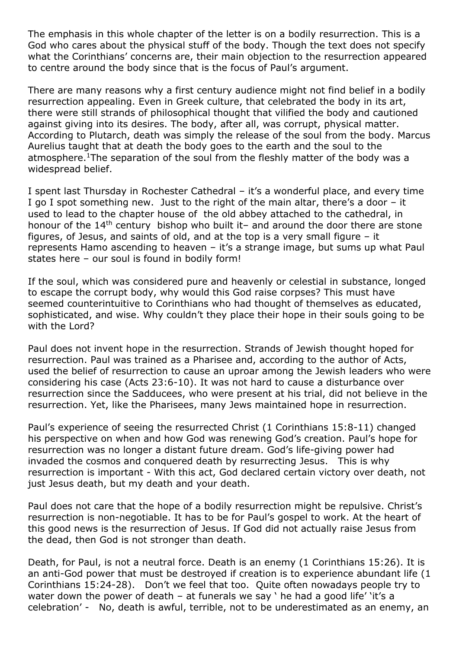The emphasis in this whole chapter of the letter is on a bodily resurrection. This is a God who cares about the physical stuff of the body. Though the text does not specify what the Corinthians' concerns are, their main objection to the resurrection appeared to centre around the body since that is the focus of Paul's argument.

There are many reasons why a first century audience might not find belief in a bodily resurrection appealing. Even in Greek culture, that celebrated the body in its art, there were still strands of philosophical thought that vilified the body and cautioned against giving into its desires. The body, after all, was corrupt, physical matter. According to Plutarch, death was simply the release of the soul from the body. Marcus Aurelius taught that at death the body goes to the earth and the soul to the atmosphere.<sup>1</sup>The separation of the soul from the fleshly matter of the body was a widespread belief.

I spent last Thursday in Rochester Cathedral – it's a wonderful place, and every time I go I spot something new. Just to the right of the main altar, there's a door – it used to lead to the chapter house of the old abbey attached to the cathedral, in honour of the 14<sup>th</sup> century bishop who built it- and around the door there are stone figures, of Jesus, and saints of old, and at the top is a very small figure – it represents Hamo ascending to heaven – it's a strange image, but sums up what Paul states here – our soul is found in bodily form!

If the soul, which was considered pure and heavenly or celestial in substance, longed to escape the corrupt body, why would this God raise corpses? This must have seemed counterintuitive to Corinthians who had thought of themselves as educated, sophisticated, and wise. Why couldn't they place their hope in their souls going to be with the Lord?

Paul does not invent hope in the resurrection. Strands of Jewish thought hoped for resurrection. Paul was trained as a Pharisee and, according to the author of Acts, used the belief of resurrection to cause an uproar among the Jewish leaders who were considering his case (Acts 23:6-10). It was not hard to cause a disturbance over resurrection since the Sadducees, who were present at his trial, did not believe in the resurrection. Yet, like the Pharisees, many Jews maintained hope in resurrection.

Paul's experience of seeing the resurrected Christ (1 Corinthians 15:8-11) changed his perspective on when and how God was renewing God's creation. Paul's hope for resurrection was no longer a distant future dream. God's life-giving power had invaded the cosmos and conquered death by resurrecting Jesus. This is why resurrection is important - With this act, God declared certain victory over death, not just Jesus death, but my death and your death.

Paul does not care that the hope of a bodily resurrection might be repulsive. Christ's resurrection is non-negotiable. It has to be for Paul's gospel to work. At the heart of this good news is the resurrection of Jesus. If God did not actually raise Jesus from the dead, then God is not stronger than death.

Death, for Paul, is not a neutral force. Death is an enemy (1 Corinthians 15:26). It is an anti-God power that must be destroyed if creation is to experience abundant life (1 Corinthians 15:24-28). Don't we feel that too. Quite often nowadays people try to water down the power of death – at funerals we say ' he had a good life' 'it's a celebration' - No, death is awful, terrible, not to be underestimated as an enemy, an